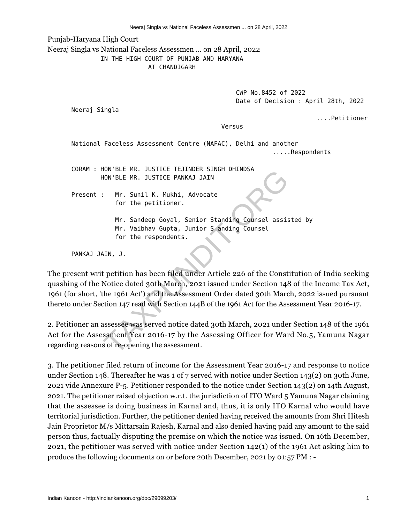Punjab-Haryana High Court

Neeraj Singla vs National Faceless Assessmen ... on 28 April, 2022

IN THE HIGH COURT OF PUNJAB AND HARYANA

AT CHANDIGARH

 CWP No.8452 of 2022 Date of Decision : April 28th, 2022

Neeraj Singla

....Petitioner

Versus

National Faceless Assessment Centre (NAFAC), Delhi and another .....Respondents

CORAM : HON'BLE MR. JUSTICE TEJINDER SINGH DHINDSA HON'BLE MR. JUSTICE PANKAJ JAIN

Present : Mr. Sunil K. Mukhi, Advocate for the petitioner.

> Mr. Sandeep Goyal, Senior Standing Counsel assisted by Mr. Vaibhav Gupta, Junior S anding Counsel for the respondents.

PANKAJ JAIN, J.

The present writ petition has been filed under Article 226 of the Constitution of India seeking quashing of the Notice dated 30th March, 2021 issued under Section 148 of the Income Tax Act, 1961 (for short, 'the 1961 Act') and the Assessment Order dated 30th March, 2022 issued pursuant thereto under Section 147 read with Section 144B of the 1961 Act for the Assessment Year 2016-17. TON'BLE MR. JUSTICE TEJINDER SINGH DHINDSA<br>
TON'BLE MR. JUSTICE PANKAJ JAIN<br>
THE MR. Sunil K. Mukhi, Advocate<br>
for the petitioner.<br>
Mr. Sandeep Goyal, Senior Standing Counsel assis<br>
Mr. Vaibhav Gupta, Junior S anding Couns

2. Petitioner an assessee was served notice dated 30th March, 2021 under Section 148 of the 1961 Act for the Assessment Year 2016-17 by the Assessing Officer for Ward No.5, Yamuna Nagar regarding reasons of re-opening the assessment.

3. The petitioner filed return of income for the Assessment Year 2016-17 and response to notice under Section 148. Thereafter he was 1 of 7 served with notice under Section 143(2) on 30th June, 2021 vide Annexure P-5. Petitioner responded to the notice under Section 143(2) on 14th August, 2021. The petitioner raised objection w.r.t. the jurisdiction of ITO Ward 5 Yamuna Nagar claiming that the assessee is doing business in Karnal and, thus, it is only ITO Karnal who would have territorial jurisdiction. Further, the petitioner denied having received the amounts from Shri Hitesh Jain Proprietor M/s Mittarsain Rajesh, Karnal and also denied having paid any amount to the said person thus, factually disputing the premise on which the notice was issued. On 16th December, 2021, the petitioner was served with notice under Section 142(1) of the 1961 Act asking him to produce the following documents on or before 20th December, 2021 by 01:57 PM : -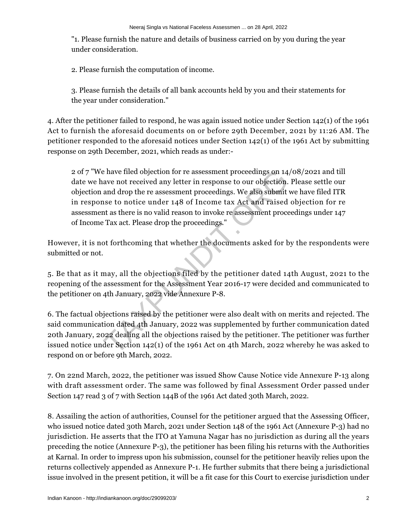"1. Please furnish the nature and details of business carried on by you during the year under consideration.

2. Please furnish the computation of income.

3. Please furnish the details of all bank accounts held by you and their statements for the year under consideration."

4. After the petitioner failed to respond, he was again issued notice under Section 142(1) of the 1961 Act to furnish the aforesaid documents on or before 29th December, 2021 by 11:26 AM. The petitioner responded to the aforesaid notices under Section 142(1) of the 1961 Act by submitting response on 29th December, 2021, which reads as under:-

2 of 7 "We have filed objection for re assessment proceedings on 14/08/2021 and till date we have not received any letter in response to our objection. Please settle our objection and drop the re assessment proceedings. We also submit we have filed ITR in response to notice under 148 of Income tax Act and raised objection for re assessment as there is no valid reason to invoke re assessment proceedings under 147 of Income Tax act. Please drop the proceedings." e have filed objection for re assessment proceedings on 14<br>ave not received any letter in response to our objection.<br>and drop the re assessment proceedings. We also submit<br>nse to notice under 148 of Income tax Act and rais

However, it is not forthcoming that whether the documents asked for by the respondents were submitted or not.

5. Be that as it may, all the objections filed by the petitioner dated 14th August, 2021 to the reopening of the assessment for the Assessment Year 2016-17 were decided and communicated to the petitioner on 4th January, 2022 vide Annexure P-8.

6. The factual objections raised by the petitioner were also dealt with on merits and rejected. The said communication dated 4th January, 2022 was supplemented by further communication dated 20th January, 2022 dealing all the objections raised by the petitioner. The petitioner was further issued notice under Section 142(1) of the 1961 Act on 4th March, 2022 whereby he was asked to respond on or before 9th March, 2022.

7. On 22nd March, 2022, the petitioner was issued Show Cause Notice vide Annexure P-13 along with draft assessment order. The same was followed by final Assessment Order passed under Section 147 read 3 of 7 with Section 144B of the 1961 Act dated 30th March, 2022.

8. Assailing the action of authorities, Counsel for the petitioner argued that the Assessing Officer, who issued notice dated 30th March, 2021 under Section 148 of the 1961 Act (Annexure P-3) had no jurisdiction. He asserts that the ITO at Yamuna Nagar has no jurisdiction as during all the years preceding the notice (Annexure P-3), the petitioner has been filing his returns with the Authorities at Karnal. In order to impress upon his submission, counsel for the petitioner heavily relies upon the returns collectively appended as Annexure P-1. He further submits that there being a jurisdictional issue involved in the present petition, it will be a fit case for this Court to exercise jurisdiction under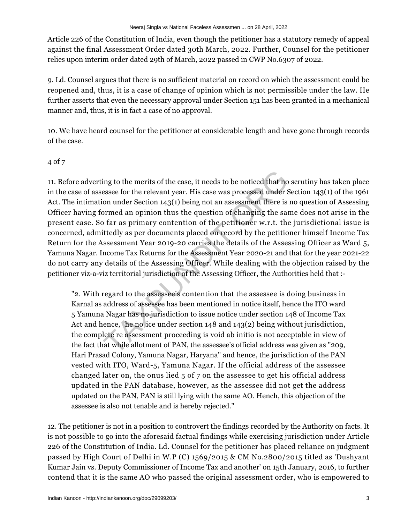Article 226 of the Constitution of India, even though the petitioner has a statutory remedy of appeal against the final Assessment Order dated 30th March, 2022. Further, Counsel for the petitioner relies upon interim order dated 29th of March, 2022 passed in CWP No.6307 of 2022.

9. Ld. Counsel argues that there is no sufficient material on record on which the assessment could be reopened and, thus, it is a case of change of opinion which is not permissible under the law. He further asserts that even the necessary approval under Section 151 has been granted in a mechanical manner and, thus, it is in fact a case of no approval.

10. We have heard counsel for the petitioner at considerable length and have gone through records of the case.

## 4 of 7

11. Before adverting to the merits of the case, it needs to be noticed that no scrutiny has taken place in the case of assessee for the relevant year. His case was processed under Section 143(1) of the 1961 Act. The intimation under Section 143(1) being not an assessment there is no question of Assessing Officer having formed an opinion thus the question of changing the same does not arise in the present case. So far as primary contention of the petitioner w.r.t. the jurisdictional issue is concerned, admittedly as per documents placed on record by the petitioner himself Income Tax Return for the Assessment Year 2019-20 carries the details of the Assessing Officer as Ward 5, Yamuna Nagar. Income Tax Returns for the Assessment Year 2020-21 and that for the year 2021-22 do not carry any details of the Assessing Officer. While dealing with the objection raised by the petitioner viz-a-viz territorial jurisdiction of the Assessing Officer, the Authorities held that : ing to the merits of the case, it needs to be noticed that no<br>essee for the relevant year. His case was processed under  $S$ <br>on under Section 143(1) being not an assessment there is<br>ormed an opinion thus the question of ch

"2. With regard to the assessee's contention that the assessee is doing business in Karnal as address of assessee has been mentioned in notice itself, hence the ITO ward 5 Yamuna Nagar has no jurisdiction to issue notice under section 148 of Income Tax Act and hence, he no ice under section 148 and 143(2) being without jurisdiction, the complete re assessment proceeding is void ab initio is not acceptable in view of the fact that while allotment of PAN, the assessee's official address was given as "209, Hari Prasad Colony, Yamuna Nagar, Haryana" and hence, the jurisdiction of the PAN vested with ITO, Ward-5, Yamuna Nagar. If the official address of the assessee changed later on, the onus lied 5 of 7 on the assessee to get his official address updated in the PAN database, however, as the assessee did not get the address updated on the PAN, PAN is still lying with the same AO. Hench, this objection of the assessee is also not tenable and is hereby rejected."

12. The petitioner is not in a position to controvert the findings recorded by the Authority on facts. It is not possible to go into the aforesaid factual findings while exercising jurisdiction under Article 226 of the Constitution of India. Ld. Counsel for the petitioner has placed reliance on judgment passed by High Court of Delhi in W.P (C) 1569/2015 & CM No.2800/2015 titled as 'Dushyant Kumar Jain vs. Deputy Commissioner of Income Tax and another' on 15th January, 2016, to further contend that it is the same AO who passed the original assessment order, who is empowered to